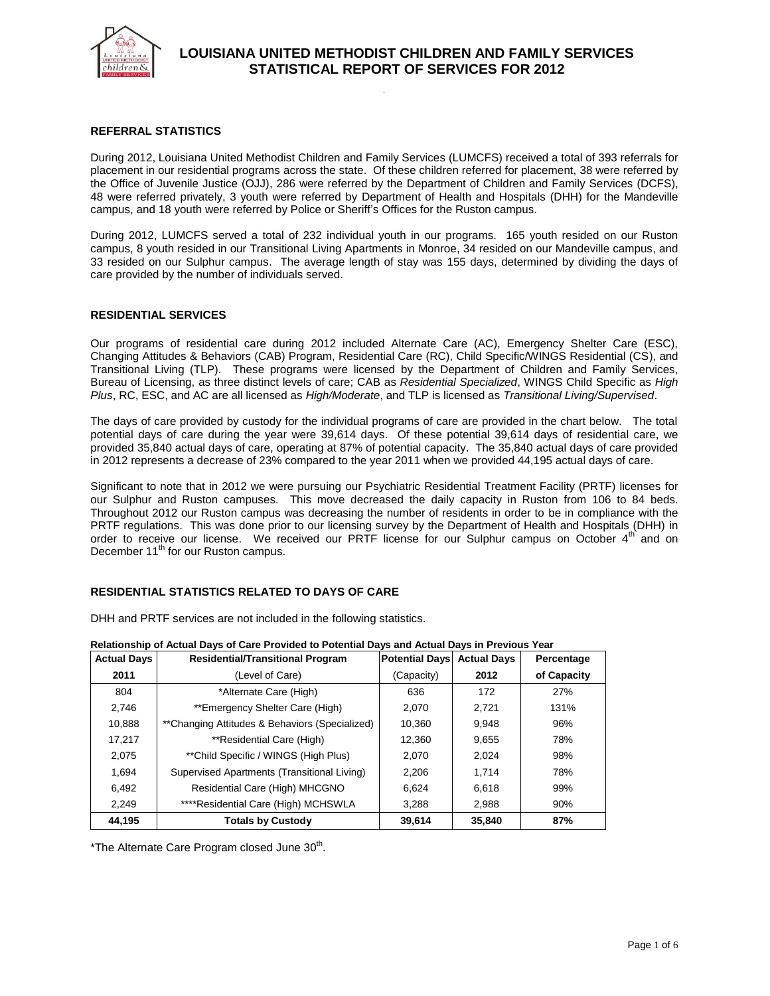

### **REFERRAL STATISTICS**

During 2012, Louisiana United Methodist Children and Family Services (LUMCFS) received a total of 393 referrals for placement in our residential programs across the state. Of these children referred for placement, 38 were referred by the Office of Juvenile Justice (OJJ), 286 were referred by the Department of Children and Family Services (DCFS), 48 were referred privately, 3 youth were referred by Department of Health and Hospitals (DHH) for the Mandeville campus, and 18 youth were referred by Police or Sheriff's Offices for the Ruston campus.

During 2012, LUMCFS served a total of 232 individual youth in our programs. 165 youth resided on our Ruston campus, 8 youth resided in our Transitional Living Apartments in Monroe, 34 resided on our Mandeville campus, and 33 resided on our Sulphur campus. The average length of stay was 155 days, determined by dividing the days of care provided by the number of individuals served.

#### **RESIDENTIAL SERVICES**

Our programs of residential care during 2012 included Alternate Care (AC), Emergency Shelter Care (ESC), Changing Attitudes & Behaviors (CAB) Program, Residential Care (RC), Child Specific/WINGS Residential (CS), and Transitional Living (TLP). These programs were licensed by the Department of Children and Family Services, Bureau of Licensing, as three distinct levels of care; CAB as *Residential Specialized*, WINGS Child Specific as *High Plus*, RC, ESC, and AC are all licensed as *High/Moderate*, and TLP is licensed as *Transitional Living/Supervised*.

The days of care provided by custody for the individual programs of care are provided in the chart below. The total potential days of care during the year were 39,614 days. Of these potential 39,614 days of residential care, we provided 35,840 actual days of care, operating at 87% of potential capacity. The 35,840 actual days of care provided in 2012 represents a decrease of 23% compared to the year 2011 when we provided 44,195 actual days of care.

Significant to note that in 2012 we were pursuing our Psychiatric Residential Treatment Facility (PRTF) licenses for our Sulphur and Ruston campuses. This move decreased the daily capacity in Ruston from 106 to 84 beds. Throughout 2012 our Ruston campus was decreasing the number of residents in order to be in compliance with the PRTF regulations. This was done prior to our licensing survey by the Department of Health and Hospitals (DHH) in order to receive our license. We received our PRTF license for our Sulphur campus on October 4<sup>th</sup> and on December 11<sup>th</sup> for our Ruston campus.

## **RESIDENTIAL STATISTICS RELATED TO DAYS OF CARE**

DHH and PRTF services are not included in the following statistics.

| <b>Actual Days</b> | <b>Residential/Transitional Program</b>        | <b>Potential Days</b> | <b>Actual Days</b> | Percentage  |
|--------------------|------------------------------------------------|-----------------------|--------------------|-------------|
| 2011               | (Level of Care)                                | (Capacity)            | 2012               | of Capacity |
| 804                | *Alternate Care (High)                         | 636                   | 172                | 27%         |
| 2,746              | **Emergency Shelter Care (High)                | 2.070                 | 2.721              | 131%        |
| 10,888             | **Changing Attitudes & Behaviors (Specialized) | 10,360                | 9,948              | 96%         |
| 17,217             | **Residential Care (High)                      | 12,360                | 9,655              | 78%         |
| 2.075              | **Child Specific / WINGS (High Plus)           | 2.070                 | 2.024              | 98%         |
| 1.694              | Supervised Apartments (Transitional Living)    | 2,206                 | 1.714              | 78%         |
| 6,492              | Residential Care (High) MHCGNO                 | 6,624                 | 6,618              | 99%         |
| 2.249              | ****Residential Care (High) MCHSWLA            | 3,288                 | 2,988              | 90%         |
| 44,195             | <b>Totals by Custody</b>                       | 39,614                | 35,840             | 87%         |

**Relationship of Actual Days of Care Provided to Potential Days and Actual Days in Previous Year**

\*The Alternate Care Program closed June 30<sup>th</sup>.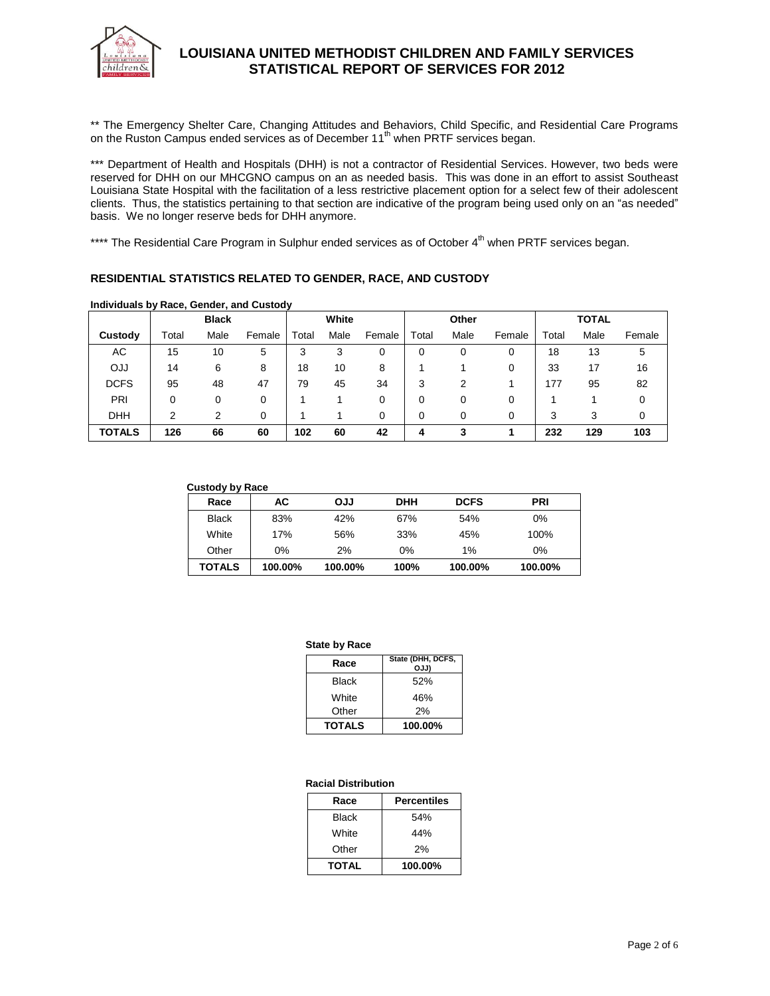

\*\* The Emergency Shelter Care, Changing Attitudes and Behaviors, Child Specific, and Residential Care Programs on the Ruston Campus ended services as of December 11<sup>th</sup> when PRTF services began.

\*\*\* Department of Health and Hospitals (DHH) is not a contractor of Residential Services. However, two beds were reserved for DHH on our MHCGNO campus on an as needed basis. This was done in an effort to assist Southeast Louisiana State Hospital with the facilitation of a less restrictive placement option for a select few of their adolescent clients. Thus, the statistics pertaining to that section are indicative of the program being used only on an "as needed" basis. We no longer reserve beds for DHH anymore.

\*\*\*\* The Residential Care Program in Sulphur ended services as of October 4<sup>th</sup> when PRTF services began.

### **RESIDENTIAL STATISTICS RELATED TO GENDER, RACE, AND CUSTODY**

|               |       | <b>Black</b> |        |       | White |        |       | Other |        |       | <b>TOTAL</b> |        |
|---------------|-------|--------------|--------|-------|-------|--------|-------|-------|--------|-------|--------------|--------|
| Custody       | Total | Male         | Female | Total | Male  | Female | Total | Male  | Female | Total | Male         | Female |
| АC            | 15    | 10           | 5      | 3     | 3     | 0      | 0     | 0     | 0      | 18    | 13           | 5      |
| <b>OJJ</b>    | 14    | 6            | 8      | 18    | 10    | 8      |       |       | 0      | 33    | 17           | 16     |
| <b>DCFS</b>   | 95    | 48           | 47     | 79    | 45    | 34     | 3     | 2     |        | 177   | 95           | 82     |
| PRI           | 0     | 0            | 0      |       |       | 0      | 0     | 0     | 0      |       |              |        |
| <b>DHH</b>    | າ     |              | 0      |       |       | 0      | 0     | 0     | 0      | 3     | 3            | 0      |
| <b>TOTALS</b> | 126   | 66           | 60     | 102   | 60    | 42     | 4     | 3     |        | 232   | 129          | 103    |

#### **Individuals by Race, Gender, and Custody**

| <b>Custody by Race</b> |         |            |            |             |            |
|------------------------|---------|------------|------------|-------------|------------|
| Race                   | AC      | <b>LLO</b> | <b>DHH</b> | <b>DCFS</b> | <b>PRI</b> |
| <b>Black</b>           | 83%     | 42%        | 67%        | 54%         | 0%         |
| White                  | 17%     | 56%        | 33%        | 45%         | 100%       |
| Other                  | 0%      | 2%         | 0%         | $1\%$       | $0\%$      |
| TOTALS                 | 100.00% | 100.00%    | 100%       | 100.00%     | 100.00%    |

#### **State by Race**

| Race          | State (DHH, DCFS,<br>OJJ) |  |  |
|---------------|---------------------------|--|--|
| Black         | 52%                       |  |  |
| White         | 46%                       |  |  |
| Other         | 2%                        |  |  |
| <b>TOTALS</b> | 100.00%                   |  |  |

#### **Racial Distribution**

| Race         | <b>Percentiles</b> |
|--------------|--------------------|
| Black        | 54%                |
| White        | 44%                |
| Other        | 2%                 |
| <b>TOTAL</b> | 100.00%            |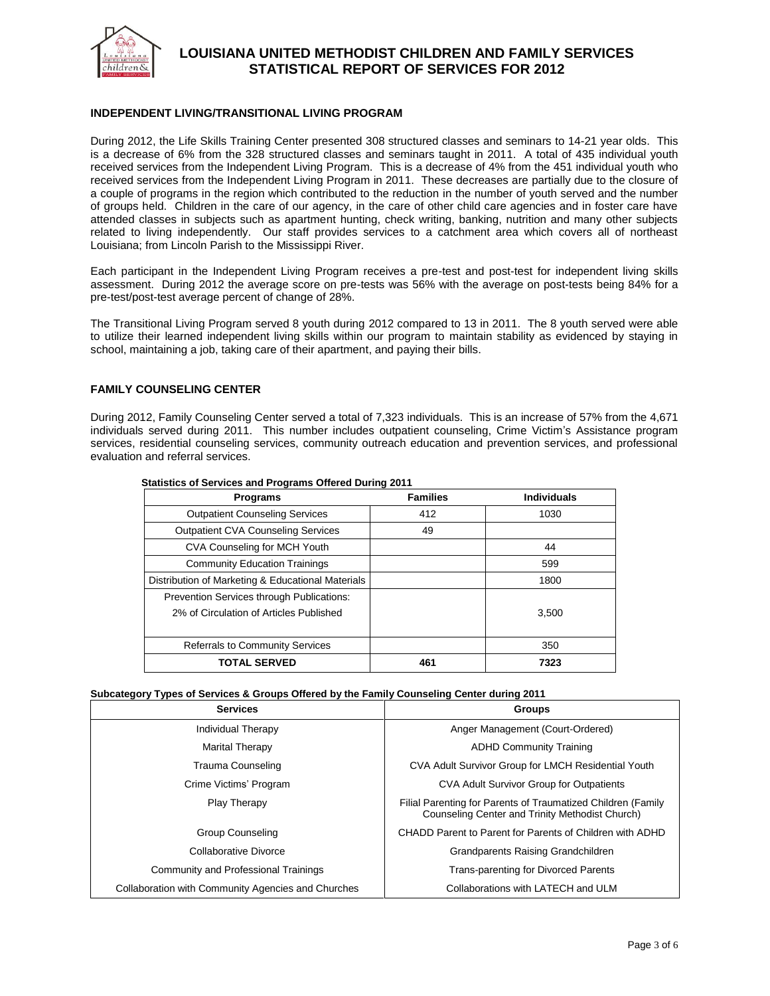

### **INDEPENDENT LIVING/TRANSITIONAL LIVING PROGRAM**

During 2012, the Life Skills Training Center presented 308 structured classes and seminars to 14-21 year olds. This is a decrease of 6% from the 328 structured classes and seminars taught in 2011. A total of 435 individual youth received services from the Independent Living Program. This is a decrease of 4% from the 451 individual youth who received services from the Independent Living Program in 2011. These decreases are partially due to the closure of a couple of programs in the region which contributed to the reduction in the number of youth served and the number of groups held. Children in the care of our agency, in the care of other child care agencies and in foster care have attended classes in subjects such as apartment hunting, check writing, banking, nutrition and many other subjects related to living independently. Our staff provides services to a catchment area which covers all of northeast Louisiana; from Lincoln Parish to the Mississippi River.

Each participant in the Independent Living Program receives a pre-test and post-test for independent living skills assessment. During 2012 the average score on pre-tests was 56% with the average on post-tests being 84% for a pre-test/post-test average percent of change of 28%.

The Transitional Living Program served 8 youth during 2012 compared to 13 in 2011. The 8 youth served were able to utilize their learned independent living skills within our program to maintain stability as evidenced by staying in school, maintaining a job, taking care of their apartment, and paying their bills.

#### **FAMILY COUNSELING CENTER**

During 2012, Family Counseling Center served a total of 7,323 individuals. This is an increase of 57% from the 4,671 individuals served during 2011. This number includes outpatient counseling, Crime Victim's Assistance program services, residential counseling services, community outreach education and prevention services, and professional evaluation and referral services.

| <b>Programs</b>                                   | <b>Families</b> | <b>Individuals</b> |
|---------------------------------------------------|-----------------|--------------------|
| <b>Outpatient Counseling Services</b>             | 412             | 1030               |
| <b>Outpatient CVA Counseling Services</b>         | 49              |                    |
| CVA Counseling for MCH Youth                      |                 | 44                 |
| <b>Community Education Trainings</b>              |                 | 599                |
| Distribution of Marketing & Educational Materials |                 | 1800               |
| Prevention Services through Publications:         |                 |                    |
| 2% of Circulation of Articles Published           |                 | 3,500              |
|                                                   |                 |                    |
| <b>Referrals to Community Services</b>            |                 | 350                |
| <b>TOTAL SERVED</b>                               | 461             | 7323               |

#### **Statistics of Services and Programs Offered During 2011**

#### **Subcategory Types of Services & Groups Offered by the Family Counseling Center during 2011**

| <b>Services</b>                                    | <b>Groups</b>                                                                                                   |  |  |
|----------------------------------------------------|-----------------------------------------------------------------------------------------------------------------|--|--|
| Individual Therapy                                 | Anger Management (Court-Ordered)                                                                                |  |  |
| Marital Therapy                                    | <b>ADHD Community Training</b>                                                                                  |  |  |
| Trauma Counseling                                  | CVA Adult Survivor Group for LMCH Residential Youth                                                             |  |  |
| Crime Victims' Program                             | <b>CVA Adult Survivor Group for Outpatients</b>                                                                 |  |  |
| <b>Play Therapy</b>                                | Filial Parenting for Parents of Traumatized Children (Family<br>Counseling Center and Trinity Methodist Church) |  |  |
| Group Counseling                                   | CHADD Parent to Parent for Parents of Children with ADHD                                                        |  |  |
| Collaborative Divorce                              | Grandparents Raising Grandchildren                                                                              |  |  |
| Community and Professional Trainings               | <b>Trans-parenting for Divorced Parents</b>                                                                     |  |  |
| Collaboration with Community Agencies and Churches | Collaborations with LATECH and ULM                                                                              |  |  |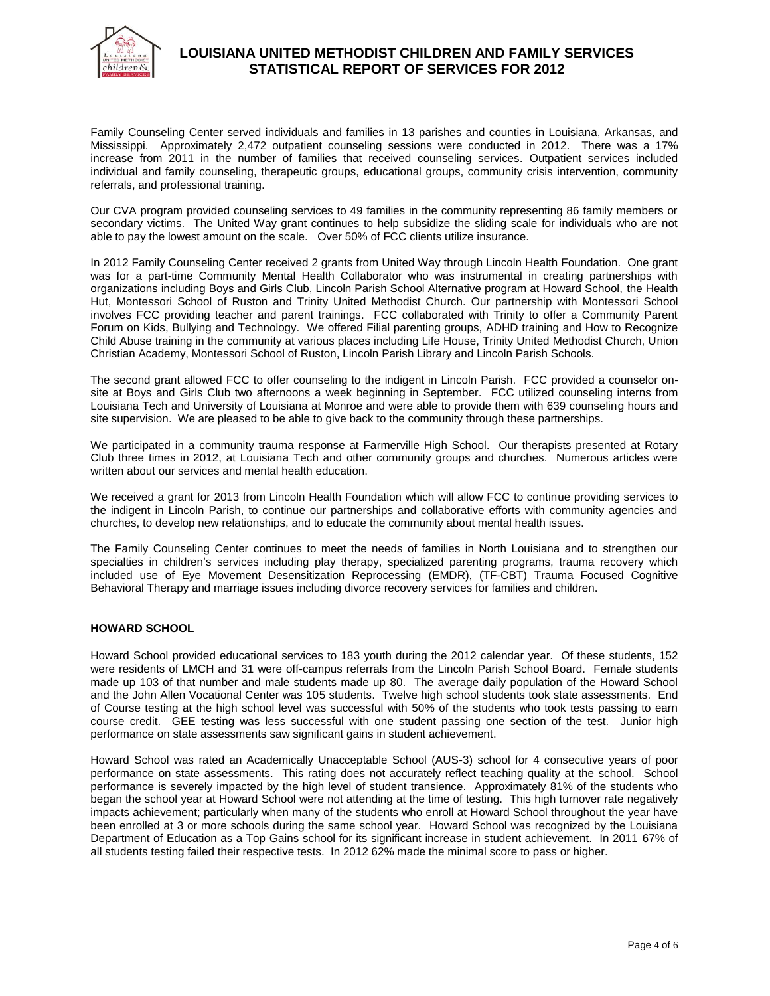

Family Counseling Center served individuals and families in 13 parishes and counties in Louisiana, Arkansas, and Mississippi. Approximately 2,472 outpatient counseling sessions were conducted in 2012. There was a 17% increase from 2011 in the number of families that received counseling services. Outpatient services included individual and family counseling, therapeutic groups, educational groups, community crisis intervention, community referrals, and professional training.

Our CVA program provided counseling services to 49 families in the community representing 86 family members or secondary victims. The United Way grant continues to help subsidize the sliding scale for individuals who are not able to pay the lowest amount on the scale. Over 50% of FCC clients utilize insurance.

In 2012 Family Counseling Center received 2 grants from United Way through Lincoln Health Foundation. One grant was for a part-time Community Mental Health Collaborator who was instrumental in creating partnerships with organizations including Boys and Girls Club, Lincoln Parish School Alternative program at Howard School, the Health Hut, Montessori School of Ruston and Trinity United Methodist Church. Our partnership with Montessori School involves FCC providing teacher and parent trainings. FCC collaborated with Trinity to offer a Community Parent Forum on Kids, Bullying and Technology. We offered Filial parenting groups, ADHD training and How to Recognize Child Abuse training in the community at various places including Life House, Trinity United Methodist Church, Union Christian Academy, Montessori School of Ruston, Lincoln Parish Library and Lincoln Parish Schools.

The second grant allowed FCC to offer counseling to the indigent in Lincoln Parish. FCC provided a counselor onsite at Boys and Girls Club two afternoons a week beginning in September. FCC utilized counseling interns from Louisiana Tech and University of Louisiana at Monroe and were able to provide them with 639 counseling hours and site supervision. We are pleased to be able to give back to the community through these partnerships.

We participated in a community trauma response at Farmerville High School. Our therapists presented at Rotary Club three times in 2012, at Louisiana Tech and other community groups and churches. Numerous articles were written about our services and mental health education.

We received a grant for 2013 from Lincoln Health Foundation which will allow FCC to continue providing services to the indigent in Lincoln Parish, to continue our partnerships and collaborative efforts with community agencies and churches, to develop new relationships, and to educate the community about mental health issues.

The Family Counseling Center continues to meet the needs of families in North Louisiana and to strengthen our specialties in children's services including play therapy, specialized parenting programs, trauma recovery which included use of Eye Movement Desensitization Reprocessing (EMDR), (TF-CBT) Trauma Focused Cognitive Behavioral Therapy and marriage issues including divorce recovery services for families and children.

#### **HOWARD SCHOOL**

Howard School provided educational services to 183 youth during the 2012 calendar year. Of these students, 152 were residents of LMCH and 31 were off-campus referrals from the Lincoln Parish School Board. Female students made up 103 of that number and male students made up 80. The average daily population of the Howard School and the John Allen Vocational Center was 105 students. Twelve high school students took state assessments. End of Course testing at the high school level was successful with 50% of the students who took tests passing to earn course credit. GEE testing was less successful with one student passing one section of the test. Junior high performance on state assessments saw significant gains in student achievement.

Howard School was rated an Academically Unacceptable School (AUS-3) school for 4 consecutive years of poor performance on state assessments. This rating does not accurately reflect teaching quality at the school. School performance is severely impacted by the high level of student transience. Approximately 81% of the students who began the school year at Howard School were not attending at the time of testing. This high turnover rate negatively impacts achievement; particularly when many of the students who enroll at Howard School throughout the year have been enrolled at 3 or more schools during the same school year. Howard School was recognized by the Louisiana Department of Education as a Top Gains school for its significant increase in student achievement. In 2011 67% of all students testing failed their respective tests. In 2012 62% made the minimal score to pass or higher.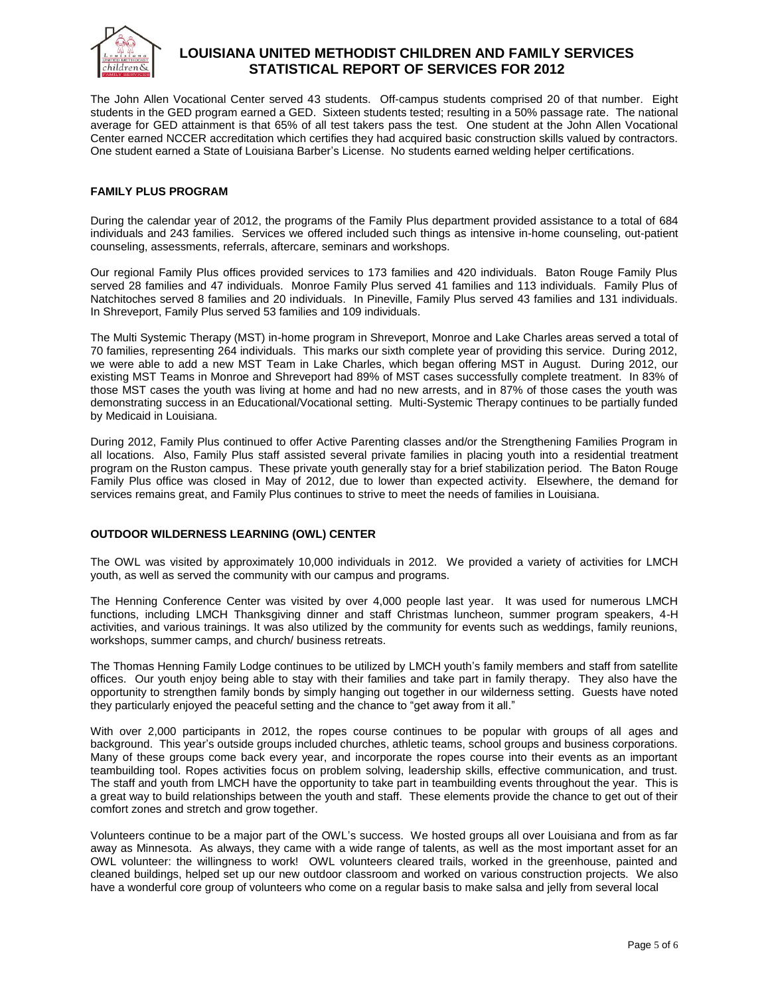

The John Allen Vocational Center served 43 students. Off-campus students comprised 20 of that number. Eight students in the GED program earned a GED. Sixteen students tested; resulting in a 50% passage rate. The national average for GED attainment is that 65% of all test takers pass the test. One student at the John Allen Vocational Center earned NCCER accreditation which certifies they had acquired basic construction skills valued by contractors. One student earned a State of Louisiana Barber's License. No students earned welding helper certifications.

### **FAMILY PLUS PROGRAM**

During the calendar year of 2012, the programs of the Family Plus department provided assistance to a total of 684 individuals and 243 families. Services we offered included such things as intensive in-home counseling, out-patient counseling, assessments, referrals, aftercare, seminars and workshops.

Our regional Family Plus offices provided services to 173 families and 420 individuals. Baton Rouge Family Plus served 28 families and 47 individuals. Monroe Family Plus served 41 families and 113 individuals. Family Plus of Natchitoches served 8 families and 20 individuals. In Pineville, Family Plus served 43 families and 131 individuals. In Shreveport, Family Plus served 53 families and 109 individuals.

The Multi Systemic Therapy (MST) in-home program in Shreveport, Monroe and Lake Charles areas served a total of 70 families, representing 264 individuals. This marks our sixth complete year of providing this service. During 2012, we were able to add a new MST Team in Lake Charles, which began offering MST in August. During 2012, our existing MST Teams in Monroe and Shreveport had 89% of MST cases successfully complete treatment. In 83% of those MST cases the youth was living at home and had no new arrests, and in 87% of those cases the youth was demonstrating success in an Educational/Vocational setting. Multi-Systemic Therapy continues to be partially funded by Medicaid in Louisiana.

During 2012, Family Plus continued to offer Active Parenting classes and/or the Strengthening Families Program in all locations. Also, Family Plus staff assisted several private families in placing youth into a residential treatment program on the Ruston campus. These private youth generally stay for a brief stabilization period. The Baton Rouge Family Plus office was closed in May of 2012, due to lower than expected activity. Elsewhere, the demand for services remains great, and Family Plus continues to strive to meet the needs of families in Louisiana.

## **OUTDOOR WILDERNESS LEARNING (OWL) CENTER**

The OWL was visited by approximately 10,000 individuals in 2012. We provided a variety of activities for LMCH youth, as well as served the community with our campus and programs.

The Henning Conference Center was visited by over 4,000 people last year. It was used for numerous LMCH functions, including LMCH Thanksgiving dinner and staff Christmas luncheon, summer program speakers, 4-H activities, and various trainings. It was also utilized by the community for events such as weddings, family reunions, workshops, summer camps, and church/ business retreats.

The Thomas Henning Family Lodge continues to be utilized by LMCH youth's family members and staff from satellite offices. Our youth enjoy being able to stay with their families and take part in family therapy. They also have the opportunity to strengthen family bonds by simply hanging out together in our wilderness setting. Guests have noted they particularly enjoyed the peaceful setting and the chance to "get away from it all."

With over 2,000 participants in 2012, the ropes course continues to be popular with groups of all ages and background. This year's outside groups included churches, athletic teams, school groups and business corporations. Many of these groups come back every year, and incorporate the ropes course into their events as an important teambuilding tool. Ropes activities focus on problem solving, leadership skills, effective communication, and trust. The staff and youth from LMCH have the opportunity to take part in teambuilding events throughout the year. This is a great way to build relationships between the youth and staff. These elements provide the chance to get out of their comfort zones and stretch and grow together.

Volunteers continue to be a major part of the OWL's success. We hosted groups all over Louisiana and from as far away as Minnesota. As always, they came with a wide range of talents, as well as the most important asset for an OWL volunteer: the willingness to work! OWL volunteers cleared trails, worked in the greenhouse, painted and cleaned buildings, helped set up our new outdoor classroom and worked on various construction projects. We also have a wonderful core group of volunteers who come on a regular basis to make salsa and jelly from several local